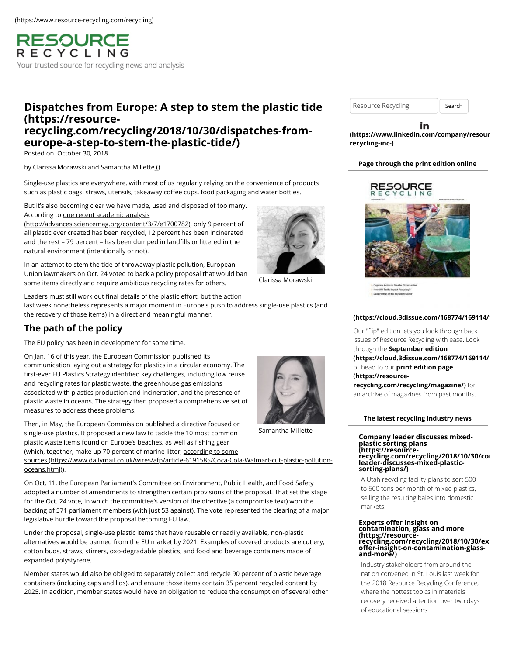**RESOURCE** RECYCLING Your trusted source for recycling news and analysis

# **[Dispatches from Europe: A step to stem the plastic tide](https://resource-recycling.com/recycling/2018/10/30/dispatches-from-europe-a-step-to-stem-the-plastic-tide/) (https://resourcerecycling.com/recycling/2018/10/30/dispatches-fromeurope-a-step-to-stem-the-plastic-tide/)**

Posted on October 30, 2018

#### by [Clarissa Morawski and Samantha Millette \(\)](https://resource-recycling.com/recycling/2018/10/30/dispatches-from-europe-a-step-to-stem-the-plastic-tide/)

Single-use plastics are everywhere, with most of us regularly relying on the convenience of products such as plastic bags, straws, utensils, takeaway coffee cups, food packaging and water bottles.

But it's also becoming clear we have made, used and disposed of too many. According to one recent academic analysis

[\(http://advances.sciencemag.org/content/3/7/e1700782\)](http://advances.sciencemag.org/content/3/7/e1700782), only 9 percent of all plastic ever created has been recycled, 12 percent has been incinerated and the rest – 79 percent – has been dumped in landfills or littered in the natural environment (intentionally or not).

In an attempt to stem the tide of throwaway plastic pollution, European Union lawmakers on Oct. 24 voted to back a policy proposal that would ban some items directly and require ambitious recycling rates for others.

Leaders must still work out final details of the plastic effort, but the action last week nonetheless represents a major moment in Europe's push to address single-use plastics (and the recovery of those items) in a direct and meaningful manner.

# **The path of the policy**

The EU policy has been in development for some time.

On Jan. 16 of this year, the European Commission published its communication laying out a strategy for plastics in a circular economy. The first-ever EU Plastics Strategy identified key challenges, including low reuse and recycling rates for plastic waste, the greenhouse gas emissions associated with plastics production and incineration, and the presence of plastic waste in oceans. The strategy then proposed a comprehensive set of measures to address these problems.

Then, in May, the European Commission published a directive focused on single-use plastics. It proposed a new law to tackle the 10 most common plastic waste items found on Europe's beaches, as well as fishing gear (which, together, make up 70 percent of marine litter, according to some

[sources \(https://www.dailymail.co.uk/wires/afp/article-6191585/Coca-Cola-Walmart-cut-plastic-pollution](https://www.dailymail.co.uk/wires/afp/article-6191585/Coca-Cola-Walmart-cut-plastic-pollution-oceans.html)oceans.html)).

On Oct. 11, the European Parliament's Committee on Environment, Public Health, and Food Safety adopted a number of amendments to strengthen certain provisions of the proposal. That set the stage for the Oct. 24 vote, in which the committee's version of the directive (a compromise text) won the backing of 571 parliament members (with just 53 against). The vote represented the clearing of a major legislative hurdle toward the proposal becoming EU law.

Under the proposal, single-use plastic items that have reusable or readily available, non-plastic alternatives would be banned from the EU market by 2021. Examples of covered products are cutlery, cotton buds, straws, stirrers, oxo-degradable plastics, and food and beverage containers made of expanded polystyrene.

Member states would also be obliged to separately collect and recycle 90 percent of plastic beverage containers (including caps and lids), and ensure those items contain 35 percent recycled content by 2025. In addition, member states would have an obligation to reduce the consumption of several other

Clarissa Morawski

Resource Recycling | Search

in **[\(https://www.linkedin.com/company/resour](https://www.linkedin.com/company/resource-recycling-inc-)cerecycling-inc-)**

### **Page through the print edition online**



.<br>How Will Tariffs Impact Resycling?<br>Data Portrait of the Sortation Sect

#### **[\(https://cloud.3dissue.com/168774/169114/1](https://cloud.3dissue.com/168774/169114/197590/RR0918/index.html)97590/RR0918/index.html)**

Our "flip" edition lets you look through back issues of Resource Recycling with ease. Look through the **September edition**

**[\(https://cloud.3dissue.com/168774/169114/1](https://cloud.3dissue.com/168774/169114/197590/RR0918/index.html)97590/RR0918/index.html)** or head to our **print edition page (https://resource-**

**[recycling.com/recycling/magazine/\)](https://resource-recycling.com/recycling/magazine/)** for an archive of magazines from past months.

### **The latest recycling industry news**

**Company leader discusses mixed-plastic sorting plans (https://resource**recycling.com/recycling/2018/10/30/co<br>leader-discusses-mixed-plastic**sorting-plans/)**

A Utah recycling facility plans to sort 500 to 600 tons per month of mixed plastics, selling the resulting bales into domestic markets.

# **Experts offer insight on contamination, glass and more (https://resource**recycling.com/recycling/2018/10/30/ex<br>offer-insight-on-contamination-glass-<br>and-more/)

Industry stakeholders from around the nation convened in St. Louis last week for the 2018 Resource Recycling Conference, where the hottest topics in materials recovery received attention over two days of educational sessions.



Samantha Millette